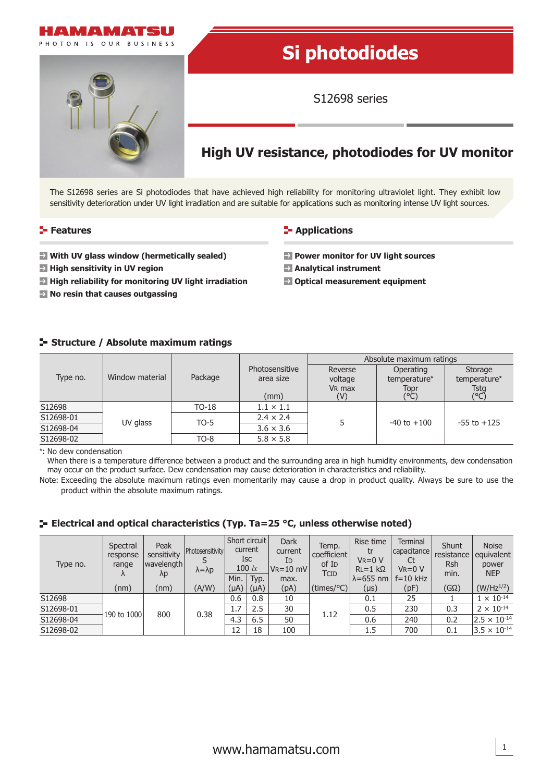



# **Si photodiodes**

S12698 series

# **High UV resistance, photodiodes for UV monitor**

The S12698 series are Si photodiodes that have achieved high reliability for monitoring ultraviolet light. They exhibit low sensitivity deterioration under UV light irradiation and are suitable for applications such as monitoring intense UV light sources.

#### **Features**

# **E-** Applications

- **With UV glass window (hermetically sealed)**
- **High sensitivity in UV region**
- **High reliability for monitoring UV light irradiation**
- **No resin that causes outgassing**
- **Power monitor for UV light sources**
- **Analytical instrument**
- **Optical measurement equipment**

# **Structure / Absolute maximum ratings**

| Type no.  | Window material |         |                  | Absolute maximum ratings |                 |                                         |  |  |
|-----------|-----------------|---------|------------------|--------------------------|-----------------|-----------------------------------------|--|--|
|           |                 |         | Photosensitive   | Reverse                  | Operating       | Storage<br>temperature*<br>Tstg<br>(°C) |  |  |
|           |                 | Package | area size        | voltage                  | temperature*    |                                         |  |  |
|           |                 |         |                  | V <sub>R</sub> max       | Topr<br>(°C)    |                                         |  |  |
|           |                 |         | (mm)             | (V)                      |                 |                                         |  |  |
| S12698    |                 | TO-18   | $1.1 \times 1.1$ |                          |                 |                                         |  |  |
| S12698-01 |                 | $TO-5$  | $2.4 \times 2.4$ | 5                        | $-40$ to $+100$ | $-55$ to $+125$                         |  |  |
| S12698-04 | UV glass        |         | $3.6 \times 3.6$ |                          |                 |                                         |  |  |
| S12698-02 |                 | $TO-8$  | $5.8 \times 5.8$ |                          |                 |                                         |  |  |

\*: No dew condensation

When there is a temperature difference between a product and the surrounding area in high humidity environments, dew condensation may occur on the product surface. Dew condensation may cause deterioration in characteristics and reliability.

Note: Exceeding the absolute maximum ratings even momentarily may cause a drop in product quality. Always be sure to use the product within the absolute maximum ratings.

# **Electrical and optical characteristics (Typ. Ta=25 °C, unless otherwise noted)**

| Type no.  | Spectral<br>response<br>range<br>$\Lambda$<br>(nm) | Peak<br>sensitivity<br> wavelength <br>λp<br>(nm) | Photosensitivity<br>$\lambda = \lambda p$<br>(A/W) | Short circuit<br>current<br><b>Isc</b><br>$100 \; \text{lx}$ |                   | <b>Dark</b><br>current<br>ID<br>$V_R = 10$ mV | Temp.<br>coefficient<br>of I <sub>D</sub><br><b>TCID</b> | Rise time<br>tr<br>$V_R = 0 V$<br>$RL = 1 k\Omega$ | <b>Terminal</b><br>capacitance<br>Ct<br>$V_R = 0 V$ | Shunt<br>resistance<br><b>Rsh</b><br>min. | <b>Noise</b><br>equivalent<br>power<br><b>NEP</b> |
|-----------|----------------------------------------------------|---------------------------------------------------|----------------------------------------------------|--------------------------------------------------------------|-------------------|-----------------------------------------------|----------------------------------------------------------|----------------------------------------------------|-----------------------------------------------------|-------------------------------------------|---------------------------------------------------|
|           |                                                    |                                                   |                                                    | Min.<br>$(\mu A)$                                            | Typ.<br>$(\mu A)$ | max.<br>(pA)                                  | (times/C)                                                | $\lambda$ =655 nm<br>$(\mu s)$                     | $f = 10$ kHz<br>(pF)                                | $(G\Omega)$                               | $(W/Hz^{1/2})$                                    |
| S12698    | 190 to 1000                                        | 800                                               | 0.38                                               | 0.6                                                          | 0.8               | 10                                            | 1.12                                                     | 0.1                                                | 25                                                  |                                           | $1 \times 10^{-14}$                               |
| S12698-01 |                                                    |                                                   |                                                    | 1.7                                                          | 2.5               | 30                                            |                                                          | 0.5                                                | 230                                                 | 0.3                                       | $2 \times 10^{-14}$                               |
| S12698-04 |                                                    |                                                   |                                                    | 4.3                                                          | 6.5               | 50                                            |                                                          | 0.6                                                | 240                                                 | 0.2                                       | $2.5 \times 10^{-14}$                             |
| S12698-02 |                                                    |                                                   |                                                    | 12                                                           | 18                | 100                                           |                                                          | 1.5                                                | 700                                                 | 0.1                                       | $3.5 \times 10^{-14}$                             |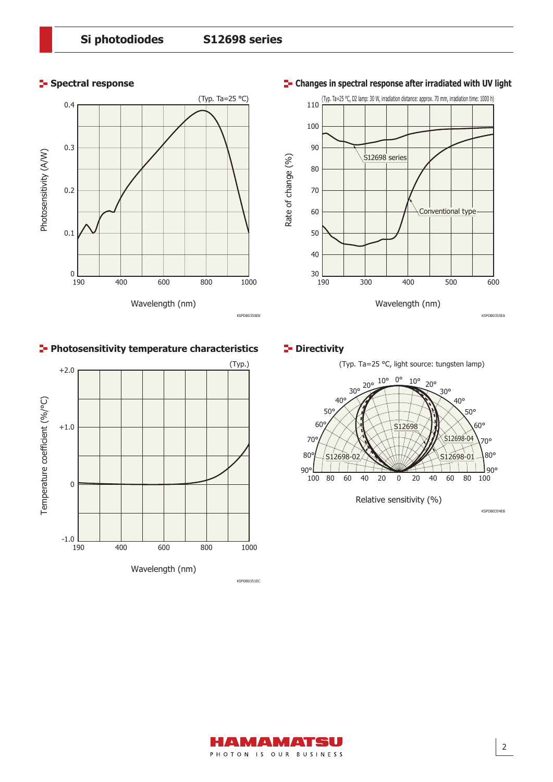



## **Changes in spectral response after irradiated with UV light** (Typ. Ta=25 °C, D2 lamp: 30 W, irradiation distance: approx. 70 mm, irradiation time: 1000 h) 110



# **2- Directivity**



(Typ. Ta=25 °C, light source: tungsten lamp) 50° 40° 30° 20° 10° 0° 10° 20° 30° 40° 50°



AMAMATSU PHOTON IS OUR BUSINESS KSPDB0354EB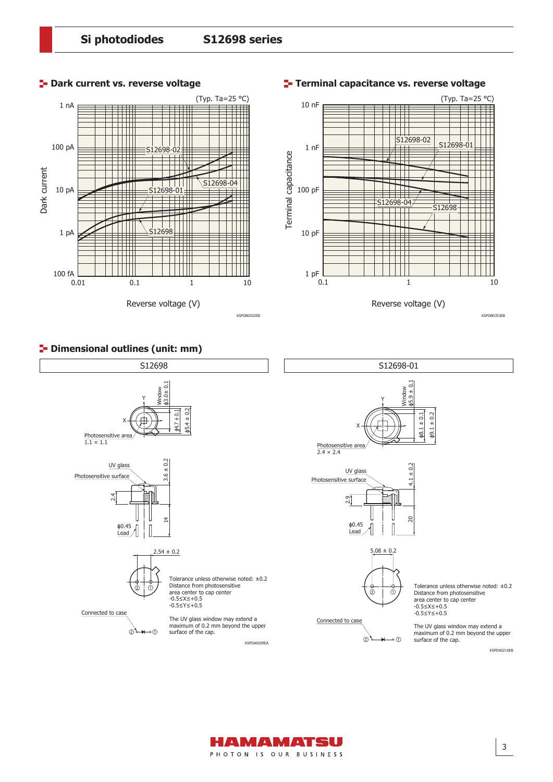

#### **P**-Dark current vs. reverse voltage

### **Terminal capacitance vs. reverse voltage**



#### **Dimensional outlines (unit: mm)** Dimensional outlines (unit: mm)





KSPDB0353EB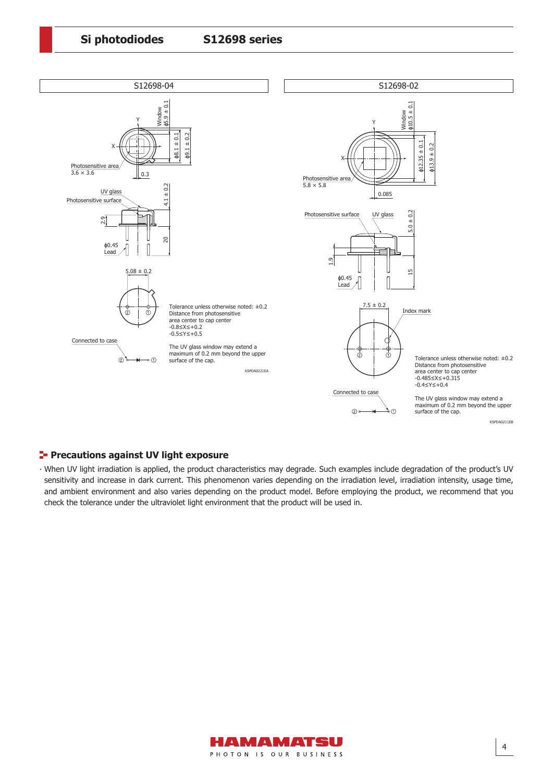**Si photodiodes S12698 series**



#### **Precautions against UV light exposure**

∙ When UV light irradiation is applied, the product characteristics may degrade. Such examples include degradation of the product's UV sensitivity and increase in dark current. This phenomenon varies depending on the irradiation level, irradiation intensity, usage time, and ambient environment and also varies depending on the product model. Before employing the product, we recommend that you check the tolerance under the ultraviolet light environment that the product will be used in.



4